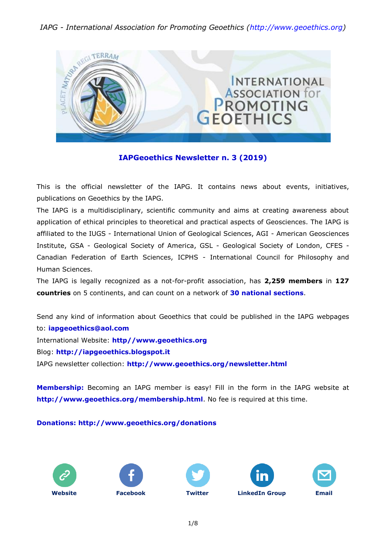### *IAPG - International Association for Promoting Geoethics [\(http://www.geoethics.org\)](http://www.geoethics.org/)*



### **IAPGeoethics Newsletter n. 3 (2019)**

This is the official newsletter of the IAPG. It contains news about events, initiatives, publications on Geoethics by the IAPG.

The IAPG is a multidisciplinary, scientific community and aims at creating awareness about application of ethical principles to theoretical and practical aspects of Geosciences. The IAPG is affiliated to the IUGS - International Union of Geological Sciences, AGI - American Geosciences Institute, GSA - Geological Society of America, GSL - Geological Society of London, CFES - Canadian Federation of Earth Sciences, ICPHS - International Council for Philosophy and Human Sciences.

The IAPG is legally recognized as a not-for-profit association, has **2,259 members** in **127 countries** on 5 continents, and can count on a network of **30 national [sections](http://www.geoethics.org/sections.html)**.

Send any kind of information about Geoethics that could be published in the IAPG webpages to: **[iapgeoethics@aol.com](mailto:iapgeoethics@aol.com?subject=IAPG%20newsletter)** International Website: **[http//www.geoethics.org](http://www.geoethics.org/)** Blog: **[http://iapgeoethics.blogspot.it](http://iapgeoethics.blogspot.it/)** IAPG newsletter collection: **<http://www.geoethics.org/newsletter.html>**

**Membership:** Becoming an IAPG member is easy! Fill in the form in the IAPG website at **<http://www.geoethics.org/membership.html>**. No fee is required at this time.

**Donations: <http://www.geoethics.org/donations>**









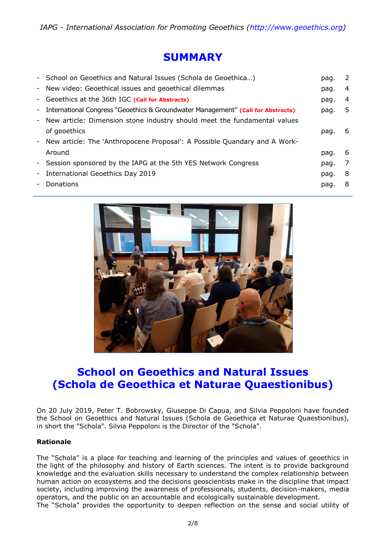# **SUMMARY**

|                          | - School on Geoethics and Natural Issues (Schola de Geoethica)                     | pag. | $\overline{2}$ |
|--------------------------|------------------------------------------------------------------------------------|------|----------------|
|                          | - New video: Geoethical issues and geoethical dilemmas                             | pag. | 4              |
|                          | - Geoethics at the 36th IGC (Call for Abstracts)                                   | pag. | 4              |
|                          | - International Congress "Geoethics & Groundwater Management" (Call for Abstracts) | pag. | 5              |
|                          | - New article: Dimension stone industry should meet the fundamental values         |      |                |
|                          | of geoethics                                                                       | pag. | -6             |
|                          | - New article: The `Anthropocene Proposal': A Possible Quandary and A Work-        |      |                |
|                          | Around                                                                             | pag. | -6             |
|                          | - Session sponsored by the IAPG at the 5th YES Network Congress                    | pag. | 7              |
| $\overline{\phantom{a}}$ | International Geoethics Day 2019                                                   | pag. | -8             |
| $\overline{\phantom{a}}$ | Donations                                                                          | pag. | -8             |
|                          |                                                                                    |      |                |



# **School on Geoethics and Natural Issues (Schola de Geoethica et Naturae Quaestionibus)**

On 20 July 2019, Peter T. Bobrowsky, Giuseppe Di Capua, and Silvia Peppoloni have founded the School on Geoethics and Natural Issues (Schola de Geoethica et Naturae Quaestionibus), in short the "Schola". Silvia Peppoloni is the Director of the "Schola".

### **Rationale**

The "Schola" is a place for teaching and learning of the principles and values of geoethics in the light of the philosophy and history of Earth sciences. The intent is to provide background knowledge and the evaluation skills necessary to understand the complex relationship between human action on ecosystems and the decisions geoscientists make in the discipline that impact society, including improving the awareness of professionals, students, decision-makers, media operators, and the public on an accountable and ecologically sustainable development. The "Schola" provides the opportunity to deepen reflection on the sense and social utility of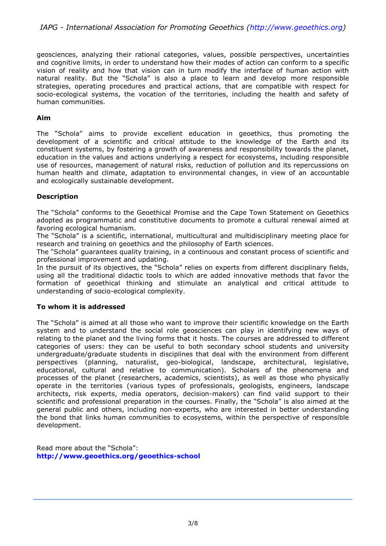geosciences, analyzing their rational categories, values, possible perspectives, uncertainties and cognitive limits, in order to understand how their modes of action can conform to a specific vision of reality and how that vision can in turn modify the interface of human action with natural reality. But the "Schola" is also a place to learn and develop more responsible strategies, operating procedures and practical actions, that are compatible with respect for socio-ecological systems, the vocation of the territories, including the health and safety of human communities.

### **Aim**

The "Schola" aims to provide excellent education in geoethics, thus promoting the development of a scientific and critical attitude to the knowledge of the Earth and its constituent systems, by fostering a growth of awareness and responsibility towards the planet, education in the values and actions underlying a respect for ecosystems, including responsible use of resources, management of natural risks, reduction of pollution and its repercussions on human health and climate, adaptation to environmental changes, in view of an accountable and ecologically sustainable development.

### **Description**

The "Schola" conforms to the Geoethical Promise and the Cape Town Statement on Geoethics adopted as programmatic and constitutive documents to promote a cultural renewal aimed at favoring ecological humanism.

The "Schola" is a scientific, international, multicultural and multidisciplinary meeting place for research and training on geoethics and the philosophy of Earth sciences.

The "Schola" guarantees quality training, in a continuous and constant process of scientific and professional improvement and updating.

In the pursuit of its objectives, the "Schola" relies on experts from different disciplinary fields, using all the traditional didactic tools to which are added innovative methods that favor the formation of geoethical thinking and stimulate an analytical and critical attitude to understanding of socio-ecological complexity.

### **To whom it is addressed**

The "Schola" is aimed at all those who want to improve their scientific knowledge on the Earth system and to understand the social role geosciences can play in identifying new ways of relating to the planet and the living forms that it hosts. The courses are addressed to different categories of users: they can be useful to both secondary school students and university undergraduate/graduate students in disciplines that deal with the environment from different perspectives (planning, naturalist, geo-biological, landscape, architectural, legislative, educational, cultural and relative to communication). Scholars of the phenomena and processes of the planet (researchers, academics, scientists), as well as those who physically operate in the territories (various types of professionals, geologists, engineers, landscape architects, risk experts, media operators, decision-makers) can find valid support to their scientific and professional preparation in the courses. Finally, the "Schola" is also aimed at the general public and others, including non-experts, who are interested in better understanding the bond that links human communities to ecosystems, within the perspective of responsible development.

Read more about the "Schola": **<http://www.geoethics.org/geoethics-school>**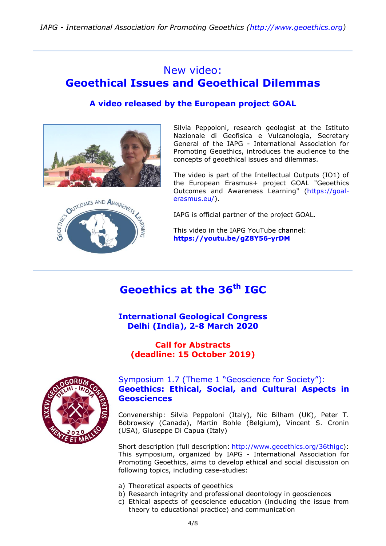# New video: **Geoethical Issues and Geoethical Dilemmas**

### **A video released by the European project GOAL**



Silvia Peppoloni, research geologist at the Istituto Nazionale di Geofisica e Vulcanologia, Secretary General of the IAPG - International Association for Promoting Geoethics, introduces the audience to the concepts of geoethical issues and dilemmas.

The video is part of the Intellectual Outputs (IO1) of the European Erasmus+ project GOAL "Geoethics Outcomes and Awareness Learning" [\(https://goal](https://goal-erasmus.eu/)[erasmus.eu/\)](https://goal-erasmus.eu/).

IAPG is official partner of the project GOAL.

This video in the IAPG YouTube channel: **<https://youtu.be/gZ8Y56-yrDM>**

# **Geoethics at the 36th IGC**

**International Geological Congress Delhi (India), 2-8 March 2020**

**Call for Abstracts (deadline: 15 October 2019)**



### [Symposium 1.7 \(Theme 1 "Geoscience for Society"\):](http://www.geoethics.org/36thigc) **[Geoethics: Ethical, Social, and Cultural Aspects in](http://www.geoethics.org/36thigc)  [Geosciences](http://www.geoethics.org/36thigc)**

Convenership: Silvia Peppoloni (Italy), Nic Bilham (UK), Peter T. Bobrowsky (Canada), Martin Bohle (Belgium), Vincent S. Cronin (USA), Giuseppe Di Capua (Italy)

Short description (full description: [http://www.geoethics.org/36thigc\)](http://www.geoethics.org/36thigc): This symposium, organized by IAPG - International Association for Promoting Geoethics, aims to develop ethical and social discussion on following topics, including case-studies:

- a) Theoretical aspects of geoethics
- b) Research integrity and professional deontology in geosciences
- c) Ethical aspects of geoscience education (including the issue from theory to educational practice) and communication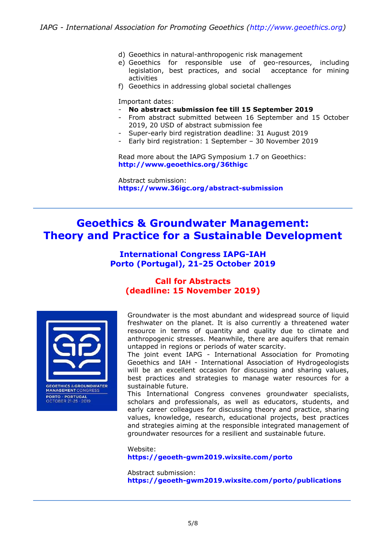- d) Geoethics in natural-anthropogenic risk management
- e) Geoethics for responsible use of geo-resources, including legislation, best practices, and social acceptance for mining activities
- f) Geoethics in addressing global societal challenges

Important dates:

- **No abstract submission fee till 15 September 2019**
- From abstract submitted between 16 September and 15 October 2019, 20 USD of abstract submission fee
- Super-early bird registration deadline: 31 August 2019
- Early bird registration: 1 September 30 November 2019

Read more about the IAPG Symposium 1.7 on Geoethics: **<http://www.geoethics.org/36thigc>**

Abstract submission: **<https://www.36igc.org/abstract-submission>**

# **Geoethics & Groundwater Management: Theory and Practice for a Sustainable Development**

### **International Congress IAPG-IAH Porto (Portugal), 21-25 October 2019**

### **Call for Abstracts (deadline: 15 November 2019)**



**GEOETHICS & GROUNDWATER**<br>MANAGEMENT CONGRESS **PORTO · PORTUGAL<br>OCTOBER 21-25 · 2019** 

Groundwater is the most abundant and widespread source of liquid freshwater on the planet. It is also currently a threatened water resource in terms of quantity and quality due to climate and anthropogenic stresses. Meanwhile, there are aquifers that remain untapped in regions or periods of water scarcity.

The joint event IAPG - International Association for Promoting Geoethics and IAH - International Association of Hydrogeologists will be an excellent occasion for discussing and sharing values, best practices and strategies to manage water resources for a sustainable future.

This International Congress convenes groundwater specialists, scholars and professionals, as well as educators, students, and early career colleagues for discussing theory and practice, sharing values, knowledge, research, educational projects, best practices and strategies aiming at the responsible integrated management of groundwater resources for a resilient and sustainable future.

Website: **<https://geoeth-gwm2019.wixsite.com/porto>**

Abstract submission: **<https://geoeth-gwm2019.wixsite.com/porto/publications>**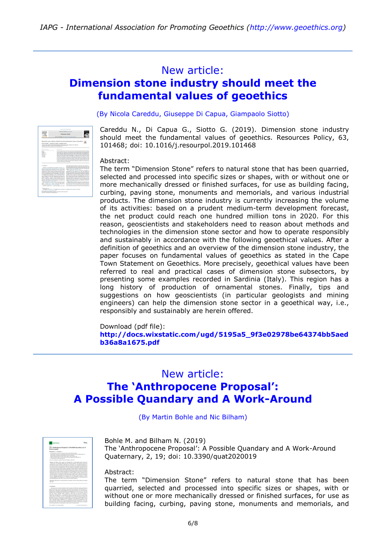### New article:

# **Dimension stone industry should meet the fundamental values of geoethics**

(By Nicola Careddu, Giuseppe Di Capua, Giampaolo Siotto)

Careddu N., Di Capua G., Siotto G. (2019). Dimension stone industry should meet the fundamental values of geoethics. Resources Policy, 63, 101468; doi: 10.1016/j.resourpol.2019.101468

### Abstract:

The term "Dimension Stone" refers to natural stone that has been quarried, selected and processed into specific sizes or shapes, with or without one or more mechanically dressed or finished surfaces, for use as building facing, curbing, paving stone, monuments and memorials, and various industrial products. The dimension stone industry is currently increasing the volume of its activities: based on a prudent medium-term development forecast, the net product could reach one hundred million tons in 2020. For this reason, geoscientists and stakeholders need to reason about methods and technologies in the dimension stone sector and how to operate responsibly and sustainably in accordance with the following geoethical values. After a definition of geoethics and an overview of the dimension stone industry, the paper focuses on fundamental values of geoethics as stated in the Cape Town Statement on Geoethics. More precisely, geoethical values have been referred to real and practical cases of dimension stone subsectors, by presenting some examples recorded in Sardinia (Italy). This region has a long history of production of ornamental stones. Finally, tips and suggestions on how geoscientists (in particular geologists and mining engineers) can help the dimension stone sector in a geoethical way, i.e., responsibly and sustainably are herein offered.

### Download (pdf file):

**[http://docs.wixstatic.com/ugd/5195a5\\_9f3e02978be64374bb5aed](http://docs.wixstatic.com/ugd/5195a5_9f3e02978be64374bb5aedb36a8a1675.pdf) [b36a8a1675.pdf](http://docs.wixstatic.com/ugd/5195a5_9f3e02978be64374bb5aedb36a8a1675.pdf)**

### New article:

# **The 'Anthropocene Proposal': A Possible Quandary and A Work-Around**

(By Martin Bohle and Nic Bilham)

### Bohle M. and Bilham N. (2019)

The 'Anthropocene Proposal': A Possible Quandary and A Work-Around Quaternary, 2, 19; doi: 10.3390/quat2020019

### Abstract:

The term "Dimension Stone" refers to natural stone that has been quarried, selected and processed into specific sizes or shapes, with or without one or more mechanically dressed or finished surfaces, for use as building facing, curbing, paving stone, monuments and memorials, and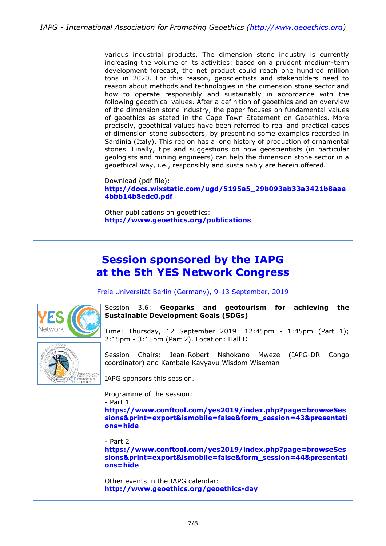various industrial products. The dimension stone industry is currently increasing the volume of its activities: based on a prudent medium-term development forecast, the net product could reach one hundred million tons in 2020. For this reason, geoscientists and stakeholders need to reason about methods and technologies in the dimension stone sector and how to operate responsibly and sustainably in accordance with the following geoethical values. After a definition of geoethics and an overview of the dimension stone industry, the paper focuses on fundamental values of geoethics as stated in the Cape Town Statement on Geoethics. More precisely, geoethical values have been referred to real and practical cases of dimension stone subsectors, by presenting some examples recorded in Sardinia (Italy). This region has a long history of production of ornamental stones. Finally, tips and suggestions on how geoscientists (in particular geologists and mining engineers) can help the dimension stone sector in a geoethical way, i.e., responsibly and sustainably are herein offered.

Download (pdf file): **[http://docs.wixstatic.com/ugd/5195a5\\_29b093ab33a3421b8aae](http://docs.wixstatic.com/ugd/5195a5_29b093ab33a3421b8aae4bbb14b8edc0.pdf) [4bbb14b8edc0.pdf](http://docs.wixstatic.com/ugd/5195a5_29b093ab33a3421b8aae4bbb14b8edc0.pdf)**

Other publications on geoethics: **<http://www.geoethics.org/publications>**

# **Session sponsored by the IAPG at the 5th YES Network Congress**

Freie Universität Berlin (Germany), 9-13 September, 2019



Session 3.6: **Geoparks and geotourism for achieving the Sustainable Development Goals (SDGs)**

Time: Thursday, 12 September 2019: 12:45pm - 1:45pm (Part 1); 2:15pm - 3:15pm (Part 2). Location: Hall D



Session Chairs: Jean-Robert Nshokano Mweze (IAPG-DR Congo coordinator) and Kambale Kavyavu Wisdom Wiseman

IAPG sponsors this session.

Programme of the session:

- Part 1

**[https://www.conftool.com/yes2019/index.php?page=browseSes](https://www.conftool.com/yes2019/index.php?page=browseSessions&print=export&ismobile=false&form_session=43&presentations=hide) [sions&print=export&ismobile=false&form\\_session=43&presentati](https://www.conftool.com/yes2019/index.php?page=browseSessions&print=export&ismobile=false&form_session=43&presentations=hide) [ons=hide](https://www.conftool.com/yes2019/index.php?page=browseSessions&print=export&ismobile=false&form_session=43&presentations=hide)**

- Part 2

**[https://www.conftool.com/yes2019/index.php?page=browseSes](https://www.conftool.com/yes2019/index.php?page=browseSessions&print=export&ismobile=false&form_session=44&presentations=hide) [sions&print=export&ismobile=false&form\\_session=44&presentati](https://www.conftool.com/yes2019/index.php?page=browseSessions&print=export&ismobile=false&form_session=44&presentations=hide) [ons=hide](https://www.conftool.com/yes2019/index.php?page=browseSessions&print=export&ismobile=false&form_session=44&presentations=hide)**

Other events in the IAPG calendar: **<http://www.geoethics.org/geoethics-day>**